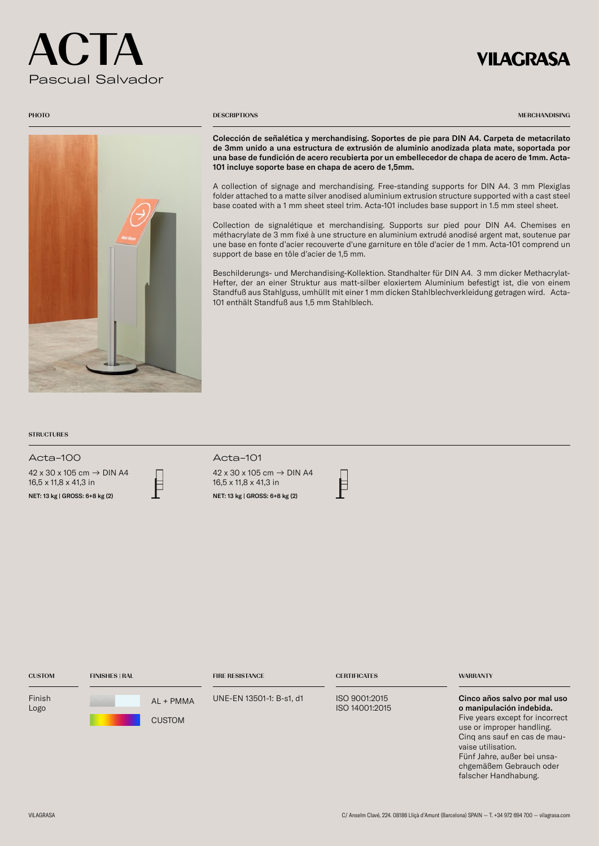# $\begin{pmatrix} 1 & 1 \\ -1 & 1 \end{pmatrix}$ Pascual Salvador

## **VILAGRASA**



### **PHOTO** DESCRIPTIONS

MERCHANDISING

Colección de señalética y merchandising. Soportes de pie para DIN A4. Carpeta de metacrilato de 3mm unido a una estructura de extrusión de aluminio anodizada plata mate, soportada por una base de fundición de acero recubierta por un embellecedor de chapa de acero de 1mm. Acta-101 incluye soporte base en chapa de acero de 1,5mm.

A collection of signage and merchandising. Free-standing supports for DIN A4. 3 mm Plexiglas folder attached to a matte silver anodised aluminium extrusion structure supported with a cast steel base coated with a 1 mm sheet steel trim. Acta-101 includes base support in 1.5 mm steel sheet.

Collection de signalétique et merchandising. Supports sur pied pour DIN A4. Chemises en méthacrylate de 3 mm fixé à une structure en aluminium extrudé anodisé argent mat, soutenue par une base en fonte d'acier recouverte d'une garniture en tôle d'acier de 1 mm. Acta-101 comprend un support de base en tôle d'acier de 1,5 mm.

Beschilderungs- und Merchandising-Kollektion. Standhalter für DIN A4. 3 mm dicker Methacrylat-Hefter, der an einer Struktur aus matt-silber eloxiertem Aluminium befestigt ist, die von einem Standfuß aus Stahlguss, umhüllt mit einer 1 mm dicken Stahlblechverkleidung getragen wird. Acta-101 enthält Standfuß aus 1,5 mm Stahlblech.

### **STRUCTURES**

Acta-100 Acta-101

42 x 30 x 105 cm → DIN A4 16,5 x 11,8 x 41,3 in  $16,5 \times 11,8 \times 41,3$  in<br>
NET: 13 kg | GROSS: 6+8 kg (2)  $\qquad \qquad$  NET: 13 kg | GROSS: 6+8 kg (2)





| <b>CUSTOM</b>  | <b>FINISHES   RAL</b> |                            | <b>FIRE RESISTANCE</b>   | <b>CERTIFICATES</b>             | <b>WARRANTY</b>                                                                                                                                                                                                                                                  |
|----------------|-----------------------|----------------------------|--------------------------|---------------------------------|------------------------------------------------------------------------------------------------------------------------------------------------------------------------------------------------------------------------------------------------------------------|
| Finish<br>Logo |                       | AL + PMMA<br><b>CUSTOM</b> | UNE-EN 13501-1: B-s1, d1 | ISO 9001:2015<br>ISO 14001:2015 | Cinco años salvo por mal uso<br>o manipulación indebida.<br>Five years except for incorrect<br>use or improper handling.<br>Cing ans sauf en cas de mau-<br>vaise utilisation.<br>Fünf Jahre, außer bei unsa-<br>chgemäßem Gebrauch oder<br>falscher Handhabung. |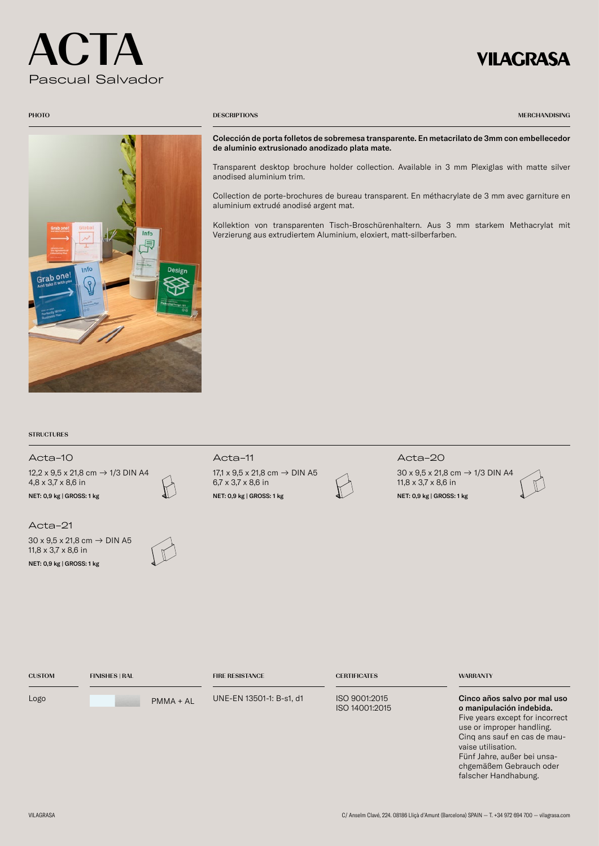# $\mathsf{C}$ . LA Pascual Salvador

## **VILAGRASA**



### PHOTO **DESCRIPTIONS**

MERCHANDISING

Colección de porta folletos de sobremesa transparente. En metacrilato de 3mm con embellecedor de aluminio extrusionado anodizado plata mate.

Transparent desktop brochure holder collection. Available in 3 mm Plexiglas with matte silver anodised aluminium trim.

Collection de porte-brochures de bureau transparent. En méthacrylate de 3 mm avec garniture en aluminium extrudé anodisé argent mat.

Kollektion von transparenten Tisch-Broschürenhaltern. Aus 3 mm starkem Methacrylat mit Verzierung aus extrudiertem Aluminium, eloxiert, matt-silberfarben.

### **STRUCTURES**

## ISO 9001:2015 ISO 14001:2015 Cinco años salvo por mal uso o manipulación indebida. CERTIFICATES WARRANTY CUSTOM FINISHES | RAL FIRE RESISTANCE Acta-10 Acta-11 Acta-20 Acta-21 12,2 x 9,5 x 21,8 cm → 1/3 DIN A4 4,8 x 3,7 x 8,6 in 17,1 x 9,5 x 21,8 cm → DIN A5 6,7 x 3,7 x 8,6 in 30 x 9,5 x 21,8 cm → 1/3 DIN A4 11,8 x 3,7 x 8,6 in 30 x 9,5 x 21,8 cm → DIN A5 11,8 x 3,7 x 8,6 in NET: 0,9 kg | GROSS: Net COLORED A NET: 0,9 kg | GROSS: Net COLORED A NET: 0,9 kg | GROSS: 1 kg NET: 0,9 kg | GROSS: 1 kg NET: 0,9 kg | GROSS: 1 kg Logo UNE-EN 13501-1: B-s1, d1 PMMA + AL

Five years except for incorrect use or improper handling. Cinq ans sauf en cas de mauvaise utilisation. Fünf Jahre, außer bei unsachgemäßem Gebrauch oder falscher Handhabung.

### VILAGRASA C/ Anselm Clavé, 224. 08186 Lliçà d'Amunt (Barcelona) SPAIN — T. +34 972 694 700 — vilagrasa.com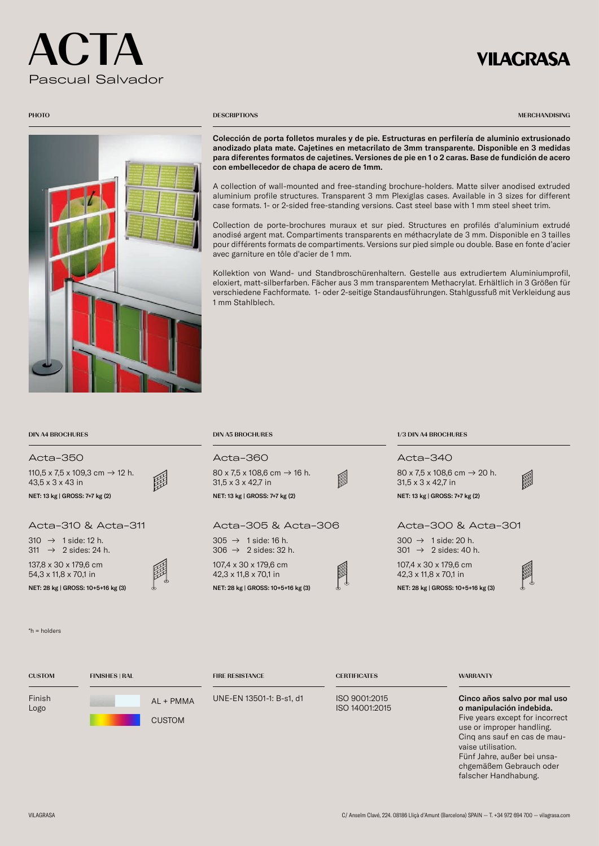# $\blacksquare$ Pascual Salvador

# **VILAGRASA**

MERCHANDISING



### **PHOTO** DESCRIPTIONS

Colección de porta folletos murales y de pie. Estructuras en perfilería de aluminio extrusionado anodizado plata mate. Cajetines en metacrilato de 3mm transparente. Disponible en 3 medidas para diferentes formatos de cajetines. Versiones de pie en 1 o 2 caras. Base de fundición de acero con embellecedor de chapa de acero de 1mm.

A collection of wall-mounted and free-standing brochure-holders. Matte silver anodised extruded aluminium profile structures. Transparent 3 mm Plexiglas cases. Available in 3 sizes for different case formats. 1- or 2-sided free-standing versions. Cast steel base with 1 mm steel sheet trim.

Collection de porte-brochures muraux et sur pied. Structures en profilés d'aluminium extrudé anodisé argent mat. Compartiments transparents en méthacrylate de 3 mm. Disponible en 3 tailles pour différents formats de compartiments. Versions sur pied simple ou double. Base en fonte d'acier avec garniture en tôle d'acier de 1 mm.

Kollektion von Wand- und Standbroschürenhaltern. Gestelle aus extrudiertem Aluminiumprofil, eloxiert, matt-silberfarben. Fächer aus 3 mm transparentem Methacrylat. Erhältlich in 3 Größen für verschiedene Fachformate. 1- oder 2-seitige Standausführungen. Stahlgussfuß mit Verkleidung aus 1 mm Stahlblech.

| <b>DIN A4 BROCHURES</b>                                                    | <b>DIN A5 BROCHURES</b>                                                                    | 1/3 DIN A4 BROCHURES                                                           |
|----------------------------------------------------------------------------|--------------------------------------------------------------------------------------------|--------------------------------------------------------------------------------|
| Acta-350                                                                   | Acta-360                                                                                   | Acta-340                                                                       |
| 110,5 x 7,5 x 109,3 cm $\rightarrow$ 12 h.<br>$43.5 \times 3 \times 43$ in | $80 \times 7.5 \times 108.6$ cm $\rightarrow$ 16 h.<br>Î<br>$31.5 \times 3 \times 42.7$ in | 80 x 7.5 x 108.6 cm $\rightarrow$ 20 h.<br>闢<br>$31.5 \times 3 \times 42.7$ in |
| NET: 13 kg   GROSS: 7+7 kg (2)                                             | NET: 13 kg   GROSS: 7+7 kg (2)                                                             | NET: 13 kg   GROSS: 7+7 kg (2)                                                 |
| Acta-310 & Acta-311                                                        | Acta-305 & Acta-306                                                                        | Acta-300 & Acta-301                                                            |
| $310 \rightarrow 1$ side: 12 h.<br>311 $\rightarrow$ 2 sides: 24 h.        | $305 \rightarrow 1$ side: 16 h.<br>$306 \rightarrow 2$ sides: 32 h.                        | $300 \rightarrow 1$ side: 20 h.<br>$301 \rightarrow 2$ sides: 40 h.            |
| 137,8 x 30 x 179,6 cm<br>$54.3 \times 11.8 \times 70.1$ in                 | 107,4 x 30 x 179,6 cm<br>$42.3 \times 11.8 \times 70.1$ in                                 | 107,4 x 30 x 179,6 cm<br>$42.3 \times 11.8 \times 70.1$ in                     |
| MET. 39 $\kappa$   CDOCC, 10 $\kappa$ 12 $\kappa$ (2)                      | $NET. 28 kS$ CDOCC. $10.516 kS$ (2)                                                        | ₾<br>$NET. 28 kS$ CDOCC. $10.512 kS$ (2)                                       |

NET: 28 kg | GROSS: 10+5+16 kg (3) NET: 28 kg | GROSS: 10+5+16 kg (3) NET: 28 kg | GROSS: 10+5+16 kg (3)

\*h = holders

Fin Log

| <b>CUSTOM</b>  | <b>FINISHES   RAL</b>      | <b>FIRE RESISTANCE</b>   | <b>CERTIFICATES</b>             | <b>WARRANTY</b>                                                                             |
|----------------|----------------------------|--------------------------|---------------------------------|---------------------------------------------------------------------------------------------|
| Finish<br>Logo | AL + PMMA<br><b>CUSTOM</b> | UNE-EN 13501-1: B-s1, d1 | ISO 9001:2015<br>ISO 14001:2015 | Cinco años salvo por mal uso<br>o manipulación indebida.<br>Five years except for incorrect |
|                |                            |                          |                                 | use or improper handling.                                                                   |

Cinq ans sauf en cas de mauvaise utilisation. Fünf Jahre, außer bei unsachgemäßem Gebrauch oder falscher Handhabung.

VILAGRASA C/ Anselm Clavé, 224. 08186 Lliçà d'Amunt (Barcelona) SPAIN — T. +34 972 694 700 — vilagrasa.com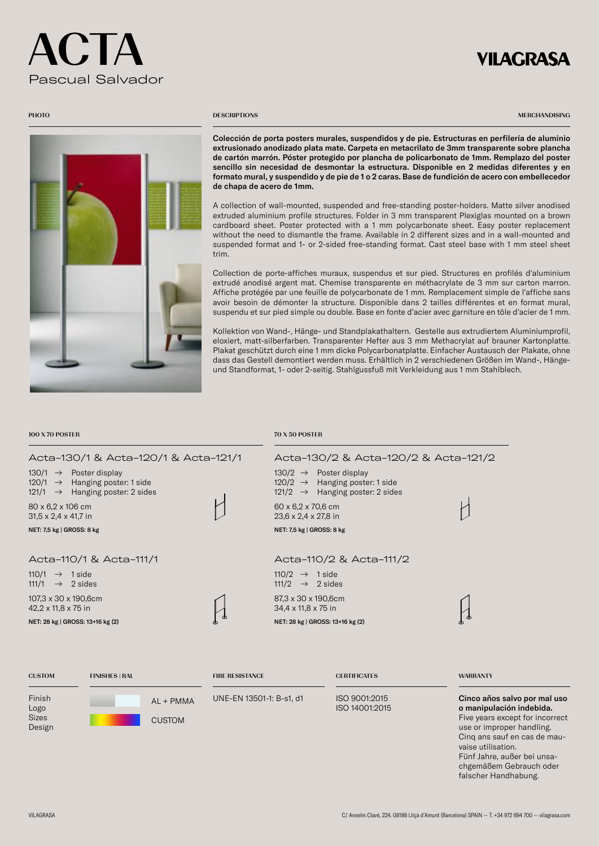# $\blacksquare$ Pascual Salvador

# VILAGRASA



### **PHOTO** DESCRIPTIONS

MERCHANDISING

Colección de porta posters murales, suspendidos y de pie. Estructuras en perfilería de aluminio extrusionado anodizado plata mate. Carpeta en metacrilato de 3mm transparente sobre plancha de cartón marrón. Póster protegido por plancha de policarbonato de 1mm. Remplazo del poster sencillo sin necesidad de desmontar la estructura. Disponible en 2 medidas diferentes y en formato mural, y suspendido y de pie de 1 o 2 caras. Base de fundición de acero con embellecedor de chapa de acero de 1mm.

A collection of wall-mounted, suspended and free-standing poster-holders. Matte silver anodised extruded aluminium profile structures. Folder in 3 mm transparent Plexiglas mounted on a brown cardboard sheet. Poster protected with a 1 mm polycarbonate sheet. Easy poster replacement without the need to dismantle the frame. Available in 2 different sizes and in a wall-mounted and suspended format and 1- or 2-sided free-standing format. Cast steel base with 1 mm steel sheet trim.

Collection de porte-affiches muraux, suspendus et sur pied. Structures en profilés d'aluminium extrudé anodisé argent mat. Chemise transparente en méthacrylate de 3 mm sur carton marron. Affiche protégée par une feuille de polycarbonate de 1 mm. Remplacement simple de l'affiche sans avoir besoin de démonter la structure. Disponible dans 2 tailles différentes et en format mural, suspendu et sur pied simple ou double. Base en fonte d'acier avec garniture en tôle d'acier de 1 mm.

Kollektion von Wand-, Hänge- und Standplakathaltern. Gestelle aus extrudiertem Aluminiumprofil, eloxiert, matt-silberfarben. Transparenter Hefter aus 3 mm Methacrylat auf brauner Kartonplatte. Plakat geschützt durch eine 1 mm dicke Polycarbonatplatte. Einfacher Austausch der Plakate, ohne dass das Gestell demontiert werden muss. Erhältlich in 2 verschiedenen Größen im Wand-, Hängeund Standformat, 1- oder 2-seitig. Stahlgussfuß mit Verkleidung aus 1 mm Stahlblech.

### 100 X 70 POSTER 70 X 50 POSTER 70 X 50 POSTER

| Acta-130/1 & Acta-120/1 & Acta-121/1                                                                                            |                        | Acta-130/2 & Acta-120/2 & Acta-121/2                                                                                               |                 |
|---------------------------------------------------------------------------------------------------------------------------------|------------------------|------------------------------------------------------------------------------------------------------------------------------------|-----------------|
| 130/1 $\rightarrow$ Poster display<br>120/1 $\rightarrow$ Hanging poster: 1 side<br>121/1 $\rightarrow$ Hanging poster: 2 sides |                        | $130/2 \rightarrow$ Poster display<br>Hanging poster: 1 side<br>$120/2 \rightarrow$<br>121/2 $\rightarrow$ Hanging poster: 2 sides |                 |
| 80 x 6,2 x 106 cm<br>$31,5 \times 2,4 \times 41,7$ in                                                                           |                        | 60 x 6,2 x 70,6 cm<br>$23.6 \times 2.4 \times 27.8$ in                                                                             |                 |
| NET: 7,5 kg   GROSS: 8 kg                                                                                                       |                        | NET: 7,5 kg   GROSS: 8 kg                                                                                                          |                 |
| Acta-110/1 & Acta-111/1                                                                                                         |                        | Acta-110/2 & Acta-111/2                                                                                                            |                 |
| 110/1 $\rightarrow$ 1 side<br>111/1 $\rightarrow$ 2 sides                                                                       |                        | $110/2 \rightarrow 1$ side<br>111/2 $\rightarrow$ 2 sides                                                                          |                 |
| 107,3 x 30 x 190,6cm<br>$42,2 \times 11,8 \times 75$ in                                                                         |                        | 87,3 x 30 x 190,6cm<br>34,4 x 11,8 x 75 in                                                                                         |                 |
| NET: 28 kg   GROSS: 13+16 kg (2)                                                                                                |                        | NET: 28 kg   GROSS: 13+16 kg (2)                                                                                                   |                 |
|                                                                                                                                 |                        |                                                                                                                                    |                 |
| <b>CUSTOM</b><br><b>FINISHES   RAL</b>                                                                                          | <b>FIRE RESISTANCE</b> | <b>CERTIFICATES</b>                                                                                                                | <b>WARRANTY</b> |

UNE-EN 13501-1: B-s1, d1

ISO 9001:2015 ISO 14001:2015

Cinco años salvo por mal uso o manipulación indebida. Five years except for incorrect use or improper handling. Cinq ans sauf en cas de mauvaise utilisation. Fünf Jahre, außer bei unsachgemäßem Gebrauch oder falscher Handhabung.

Finish Logo Sizes Design

CUSTOM

 $\Delta I$  + PMMA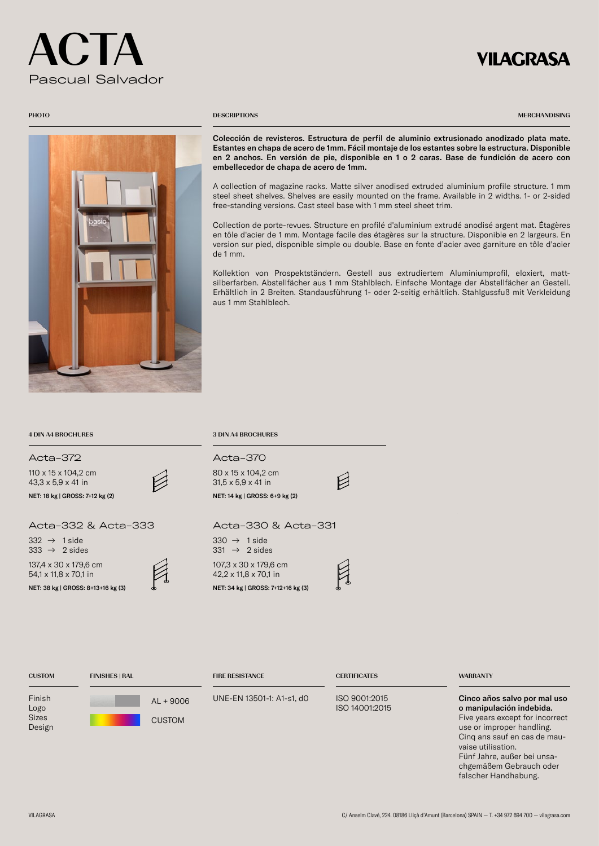# ACTA Pascual Salvador

## VILAGRASA

MERCHANDISING



### **PHOTO** DESCRIPTIONS

Colección de revisteros. Estructura de perfil de aluminio extrusionado anodizado plata mate. Estantes en chapa de acero de 1mm. Fácil montaje de los estantes sobre la estructura. Disponible en 2 anchos. En versión de pie, disponible en 1 o 2 caras. Base de fundición de acero con embellecedor de chapa de acero de 1mm.

A collection of magazine racks. Matte silver anodised extruded aluminium profile structure. 1 mm steel sheet shelves. Shelves are easily mounted on the frame. Available in 2 widths. 1- or 2-sided free-standing versions. Cast steel base with 1 mm steel sheet trim.

Collection de porte-revues. Structure en profilé d'aluminium extrudé anodisé argent mat. Étagères en tôle d'acier de 1 mm. Montage facile des étagères sur la structure. Disponible en 2 largeurs. En version sur pied, disponible simple ou double. Base en fonte d'acier avec garniture en tôle d'acier de 1 mm.

Kollektion von Prospektständern. Gestell aus extrudiertem Aluminiumprofil, eloxiert, mattsilberfarben. Abstellfächer aus 1 mm Stahlblech. Einfache Montage der Abstellfächer an Gestell. Erhältlich in 2 Breiten. Standausführung 1- oder 2-seitig erhältlich. Stahlgussfuß mit Verkleidung aus 1 mm Stahlblech.

### 4 DIN A4 BROCHURES 3 DIN A4 BROCHURES

Acta-372 Acta-370

110 x 15 x 104,2 cm 43,3 x 5,9 x 41 in

### Acta-332 & Acta-333 Acta-330 & Acta-331

CUSTOM FINISHES | RAL FIRE RESISTANCE

**CUSTOM** 

137,4 x 30 x 179,6 cm 54,1 x 11,8 x 70,1 in NET: 38 kg | GROSS: 8+13+16 kg (3) NET: 34 kg | GROSS: 7+12+16 kg (3)  $332 \rightarrow 1$  side  $333 \rightarrow 2$  sides



AL + 9006 UNE-EN 13501-1: A1-s1, d0



107,3 x 30 x 179,6 cm 42,2 x 11,8 x 70,1 in  $331 \rightarrow 2$  sides



 $\beta$ 

ISO 9001:2015 ISO 14001:2015

CERTIFICATES WARRANTY

Cinco años salvo por mal uso o manipulación indebida. Five years except for incorrect use or improper handling. Cinq ans sauf en cas de mauvaise utilisation. Fünf Jahre, außer bei unsachgemäßem Gebrauch oder falscher Handhabung.

Finish Logo Sizes Design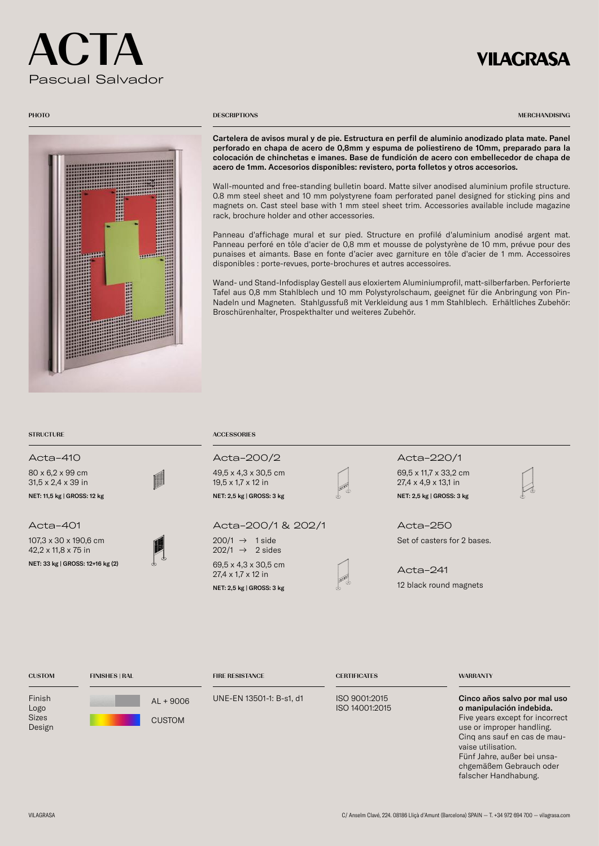# $\mathsf C$ . LA Pascual Salvador

# **VILAGRASA**



### **PHOTO** DESCRIPTIONS

MERCHANDISING

Cartelera de avisos mural y de pie. Estructura en perfil de aluminio anodizado plata mate. Panel perforado en chapa de acero de 0,8mm y espuma de poliestireno de 10mm, preparado para la colocación de chinchetas e imanes. Base de fundición de acero con embellecedor de chapa de acero de 1mm. Accesorios disponibles: revistero, porta folletos y otros accesorios.

Wall-mounted and free-standing bulletin board. Matte silver anodised aluminium profile structure. 0.8 mm steel sheet and 10 mm polystyrene foam perforated panel designed for sticking pins and magnets on. Cast steel base with 1 mm steel sheet trim. Accessories available include magazine rack, brochure holder and other accessories.

Panneau d'affichage mural et sur pied. Structure en profilé d'aluminium anodisé argent mat. Panneau perforé en tôle d'acier de 0,8 mm et mousse de polystyrène de 10 mm, prévue pour des punaises et aimants. Base en fonte d'acier avec garniture en tôle d'acier de 1 mm. Accessoires disponibles : porte-revues, porte-brochures et autres accessoires.

Wand- und Stand-Infodisplay Gestell aus eloxiertem Aluminiumprofil, matt-silberfarben. Perforierte Tafel aus 0,8 mm Stahlblech und 10 mm Polystyrolschaum, geeignet für die Anbringung von Pin-Nadeln und Magneten. Stahlgussfuß mit Verkleidung aus 1 mm Stahlblech. Erhältliches Zubehör: Broschürenhalter, Prospekthalter und weiteres Zubehör.

80 x 6,2 x 99 cm 31,5 x 2,4 x 39 in NET: 11,5 kg | GROSS: 12 kg NET: 2,5 kg | GROSS: 3 kg NET: 2,5 kg | GROSS: 3 kg NET: 2,5 kg | GROSS: 3 kg NET: 2,5 kg | GROSS: 3 kg NET: 2,5 kg | GROSS: 3 kg NET: 2,5 kg | GROSS: 3 kg NET: 2,5 kg | GROSS: 3 kg NET: 2,5 kg

### Acta-401

107,3 x 30 x 190,6 cm 42,2 x 11,8 x 75 in NET: 33 kg | GROSS: 12+16 kg (2)



49,5 x 4,3 x 30,5 cm 19,5 x 1,7 x 12 in

Acta-200/1 & 202/1

 $200/1 \rightarrow 1$  side  $202/1 \rightarrow 2$  sides 69,5 x 4,3 x 30,5 cm 27,4 x 1,7 x 12 in NET: 2,5 kg | GROSS: 3 kg



## Acta-410 Acta-200/2 Acta-220/1

69,5 x 11,7 x 33,2 cm 27,4 x 4,9 x 13,1 in

Set of casters for 2 bases. Acta-250

12 black round magnets Acta-241

| <b>CUSTOM</b>                            | <b>FINISHES   RAL</b>        | <b>FIRE RESISTANCE</b>   | <b>CERTIFICATES</b>             | <b>WARRANTY</b>                                                                                                                                                                                                                          |
|------------------------------------------|------------------------------|--------------------------|---------------------------------|------------------------------------------------------------------------------------------------------------------------------------------------------------------------------------------------------------------------------------------|
| Finish<br>Logo<br><b>Sizes</b><br>Design | $AL + 9006$<br><b>CUSTOM</b> | UNE-EN 13501-1: B-s1, d1 | ISO 9001:2015<br>ISO 14001:2015 | Cinco años salvo por mal uso<br>o manipulación indebida.<br>Five years except for incorrect<br>use or improper handling.<br>Cing ans sauf en cas de mau-<br>vaise utilisation.<br>Fünf Jahre, außer bei unsa-<br>chgemäßem Gebrauch oder |

falscher Handhabung.